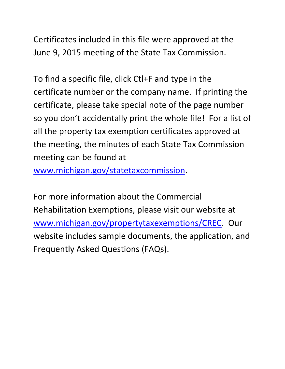Certificates included in this file were approved at the June 9, 2015 meeting of the State Tax Commission.

To find a specific file, click Ctl+F and type in the certificate number or the company name. If printing the certificate, please take special note of the page number so you don't accidentally print the whole file! For a list of all the property tax exemption certificates approved at the meeting, the minutes of each State Tax Commission meeting can be found at

www.michigan.gov/statetaxcommission.

For more information about the Commercial Rehabilitation Exemptions, please visit our website at www.michigan.gov/propertytaxexemptions/CREC. Our website includes sample documents, the application, and Frequently Asked Questions (FAQs).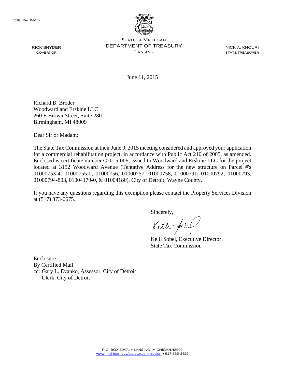

STATE OF MICHIGAN DEPARTMENT OF TREASURY LANSING

NICK A. KHOURI STATE TREASURER

June 11, 2015

Richard B. Broder Woodward and Erskine LLC 260 E Brown Street, Suite 280 Birmingham, MI 48009

Dear Sir or Madam:

The State Tax Commission at their June 9, 2015 meeting considered and approved your application for a commercial rehabilitation project, in accordance with Public Act 210 of 2005, as amended. Enclosed is certificate number C2015-006, issued to Woodward and Erskine LLC for the project located at 3152 Woodward Avenue (Tentative Address for the new structure on Parcel #'s 01000753-4, 01000755-0, 01000756, 01000757, 01000758, 01000791, 01000792, 01000793, 01000794-803, 01004179-0, & 01004180), City of Detroit, Wayne County.

If you have any questions regarding this exemption please contact the Property Services Division at (517) 373-0675.

Sincerely,

Kelli for

Kelli Sobel, Executive Director State Tax Commission

Enclosure By Certified Mail cc: Gary L. Evanko, Assessor, City of Detroit Clerk, City of Detroit

RICK SNYDER GOVERNOR